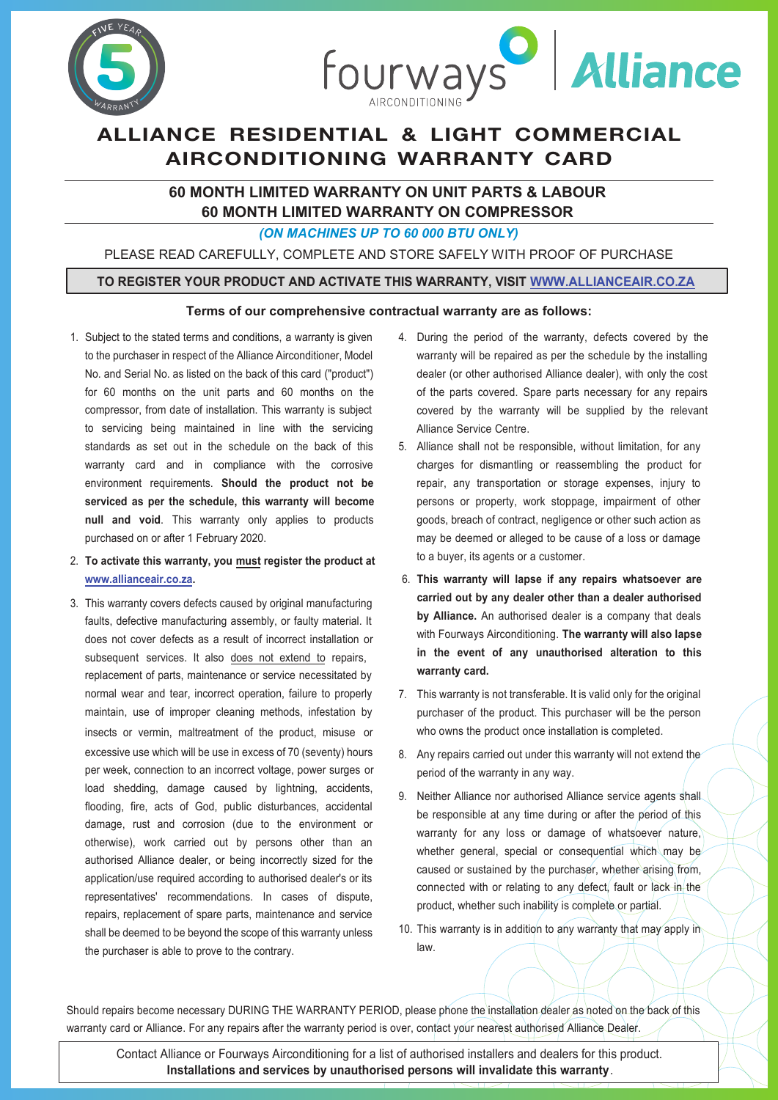



# ALLIANCE RESIDENTIAL & LIGHT COMMERCIAL AIRCONDITIONING WARRANTY CARD

### **60 MONTH LIMITED WARRANTY ON UNIT PARTS & LABOUR 60 MONTH LIMITED WARRANTY ON COMPRESSOR**

*(ON MACHINES UP TO 60 000 BTU ONLY)* 

PLEASE READ CAREFULLY, COMPLETE AND STORE SAFELY WITH PROOF OF PURCHASE

#### **TO REGISTER YOUR PRODUCT AND ACTIVATE THIS WARRANTY, VISIT WWW.ALLIANCEAIR.CO.ZA**

#### **Terms of our comprehensive contractual warranty are as follows:**

- 1. Subject to the stated terms and conditions, a warranty is given to the purchaser in respect of the Alliance Airconditioner, Model No. and Serial No. as listed on the back of this card ("product") for 60 months on the unit parts and 60 months on the compressor, from date of installation. This warranty is subject to servicing being maintained in line with the servicing standards as set out in the schedule on the back of this warranty card and in compliance with the corrosive environment requirements. **Should the product not be serviced as per the schedule, this warranty will become null and void**. This warranty only applies to products purchased on or after 1 February 2020.
- 2. **To activate this warranty, you must register the product at www.allianceair.co.za.**
- 3. This warranty covers defects caused by original manufacturing faults, defective manufacturing assembly, or faulty material. It does not cover defects as a result of incorrect installation or subsequent services. It also does not extend to repairs, replacement of parts, maintenance or service necessitated by normal wear and tear, incorrect operation, failure to properly maintain, use of improper cleaning methods, infestation by insects or vermin, maltreatment of the product, misuse or excessive use which will be use in excess of 70 (seventy) hours per week, connection to an incorrect voltage, power surges or load shedding, damage caused by lightning, accidents, flooding, fire, acts of God, public disturbances, accidental damage, rust and corrosion (due to the environment or otherwise), work carried out by persons other than an authorised Alliance dealer, or being incorrectly sized for the application/use required according to authorised dealer's or its representatives' recommendations. In cases of dispute, repairs, replacement of spare parts, maintenance and service shall be deemed to be beyond the scope of this warranty unless the purchaser is able to prove to the contrary.
- 4. During the period of the warranty, defects covered by the warranty will be repaired as per the schedule by the installing dealer (or other authorised Alliance dealer), with only the cost of the parts covered. Spare parts necessary for any repairs covered by the warranty will be supplied by the relevant Alliance Service Centre.
- 5. Alliance shall not be responsible, without limitation, for any charges for dismantling or reassembling the product for repair, any transportation or storage expenses, injury to persons or property, work stoppage, impairment of other goods, breach of contract, negligence or other such action as may be deemed or alleged to be cause of a loss or damage to a buyer, its agents or a customer.
- 6. **This warranty will lapse if any repairs whatsoever are carried out by any dealer other than a dealer authorised by Alliance.** An authorised dealer is a company that deals with Fourways Airconditioning. **The warranty will also lapse in the event of any unauthorised alteration to this warranty card.**
- 7. This warranty is not transferable. It is valid only for the original purchaser of the product. This purchaser will be the person who owns the product once installation is completed.
- 8. Any repairs carried out under this warranty will not extend the period of the warranty in any way.
- 9. Neither Alliance nor authorised Alliance service agents shall be responsible at any time during or after the period of this warranty for any loss or damage of whatsoever nature, whether general, special or consequential which may be caused or sustained by the purchaser, whether arising from, connected with or relating to any defect, fault or lack in the product, whether such inability is complete or partial.
- 10. This warranty is in addition to any warranty that may apply in law.

Should repairs become necessary DURING THE WARRANTY PERIOD, please phone the installation dealer as noted on the back of this warranty card or Alliance. For any repairs after the warranty period is over, contact your nearest authorised Alliance Dealer.

Contact Alliance or Fourways Airconditioning for a list of authorised installers and dealers for this product. **Installations and services by unauthorised persons will invalidate this warranty**.